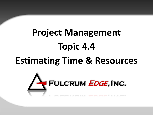# **Project Management Topic 4.4 Estimating Time & Resources**

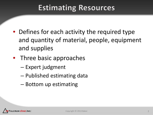### **Estimating Resources**

- Defines for each activity the required type and quantity of material, people, equipment and supplies
- Three basic approaches
	- Expert judgment
	- Published estimating data
	- Bottom up estimating

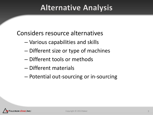#### **Alternative Analysis**

Considers resource alternatives

- Various capabilities and skills
- Different size or type of machines
- Different tools or methods
- Different materials
- Potential out-sourcing or in-sourcing

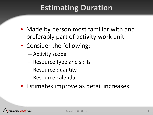## **Estimating Duration**

- Made by person most familiar with and preferably part of activity work unit
- Consider the following:
	- Activity scope
	- Resource type and skills
	- Resource quantity
	- Resource calendar
- Estimates improve as detail increases

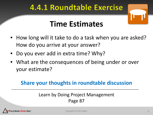#### **4.4.1 Roundtable Exercise**

## **Time Estimates**

- How long will it take to do a task when you are asked? How do you arrive at your answer?
- Do you ever add in extra time? Why?
- What are the consequences of being under or over your estimate?

#### **Share your thoughts in roundtable discussion**

#### Learn by Doing Project Management Page 87

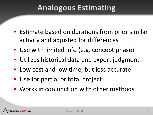### **Analogous Estimating**

- Estimate based on durations from prior similar activity and adjusted for differences
- Use with limited info (e.g. concept phase)
- Utilizes historical data and expert judgment
- Low cost and low time, but less accurate
- Use for partial or total project
- Works in conjunction with other methods

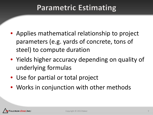#### **Parametric Estimating**

- Applies mathematical relationship to project parameters (e.g. yards of concrete, tons of steel) to compute duration
- Yields higher accuracy depending on quality of underlying formulas
- Use for partial or total project
- Works in conjunction with other methods

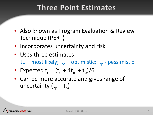#### **Three Point Estimates**

- Also known as Program Evaluation & Review Technique (PERT)
- Incorporates uncertainty and risk
- Uses three estimates  $t_m$  – most likely;  $t_o$  – optimistic;  $t_p$  - pessimistic
- Expected  $t_e = (t_o + 4t_m + t_p)/6$
- Can be more accurate and gives range of uncertainty  $(t_p - t_o)$

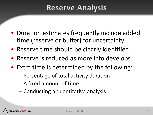#### **Reserve Analysis**

- Duration estimates frequently include added time (reserve or buffer) for uncertainty
- Reserve time should be clearly identified
- Reserve is reduced as more info develops
- Extra time is determined by the following:
	- Percentage of total activity duration
	- A fixed amount of time
	- Conducting a quantitative analysis

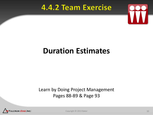#### **4.4.2 Team Exercise**



### **Duration Estimates**

#### Learn by Doing Project Management Pages 88-89 & Page 93



Copyright © 2013 Baker